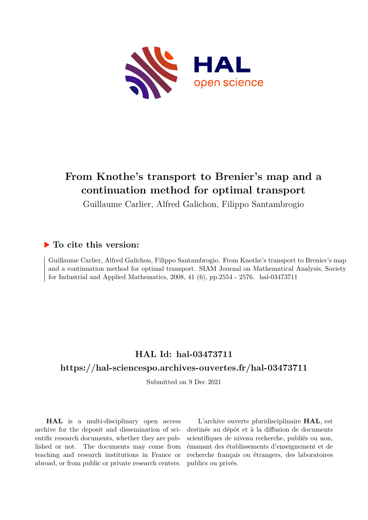

## **From Knothe's transport to Brenier's map and a continuation method for optimal transport**

Guillaume Carlier, Alfred Galichon, Filippo Santambrogio

#### **To cite this version:**

Guillaume Carlier, Alfred Galichon, Filippo Santambrogio. From Knothe's transport to Brenier's map and a continuation method for optimal transport. SIAM Journal on Mathematical Analysis, Society for Industrial and Applied Mathematics,  $2008$ ,  $41$   $(6)$ , pp.2554 - 2576. hal-03473711

## **HAL Id: hal-03473711 <https://hal-sciencespo.archives-ouvertes.fr/hal-03473711>**

Submitted on 9 Dec 2021

**HAL** is a multi-disciplinary open access archive for the deposit and dissemination of scientific research documents, whether they are published or not. The documents may come from teaching and research institutions in France or abroad, or from public or private research centers.

L'archive ouverte pluridisciplinaire **HAL**, est destinée au dépôt et à la diffusion de documents scientifiques de niveau recherche, publiés ou non, émanant des établissements d'enseignement et de recherche français ou étrangers, des laboratoires publics ou privés.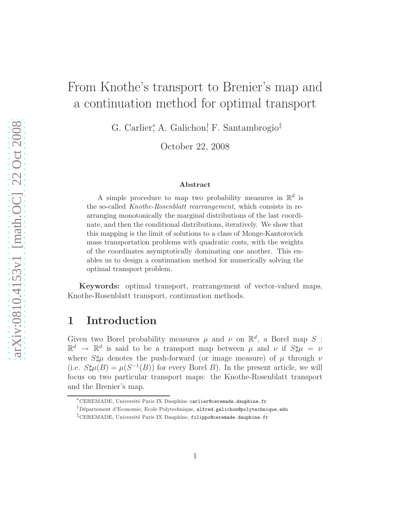# From Knothe's transport to Brenier's map and a continuation method for optimal transport

G. Carlier,<sup>\*</sup> A. Galichon<sup>†</sup>, F. Santambrogio<sup>‡</sup>

October 22, 2008

#### Abstract

A simple procedure to map two probability measures in  $\mathbb{R}^d$  is the so-called Knothe-Rosenblatt rearrangement, which consists in rearranging monotonically the marginal distributions of the last coordinate, and then the conditional distributions, iteratively. We show that this mapping is the limit of solutions to a class of Monge-Kantorovich mass transportation problems with quadratic costs, with the weights of the coordinates asymptotically dominating one another. This enables us to design a continuation method for numerically solving the optimal transport problem.

Keywords: optimal transport, rearrangement of vector-valued maps, Knothe-Rosenblatt transport, continuation methods.

#### 1 Introduction

Given two Borel probability measures  $\mu$  and  $\nu$  on  $\mathbb{R}^d$ , a Borel map S:  $\mathbb{R}^d \to \mathbb{R}^d$  is said to be a transport map between  $\mu$  and  $\nu$  if  $S\sharp\mu = \nu$ where  $S\sharp\mu$  denotes the push-forward (or image measure) of  $\mu$  through  $\nu$ (i.e.  $S\sharp\mu(B) = \mu(S^{-1}(B))$  for every Borel B). In the present article, we will focus on two particular transport maps: the Knothe-Rosenblatt transport and the Brenier's map.

<sup>∗</sup>CEREMADE, Universit´e Paris IX Dauphine carlier@ceremade.dauphine.fr

<sup>†</sup>D´epartement d'Economie, Ecole Polytechnique, alfred.galichon@polytechnique.edu <sup>‡</sup>CEREMADE, Université Paris IX Dauphine, filippo@ceremade.dauphine.fr

arXiv:0810.4153v1 [math.OC] 22 Oct 2008 [arXiv:0810.4153v1 \[math.OC\] 22 Oct 2008](http://arXiv.org/abs/0810.4153v1)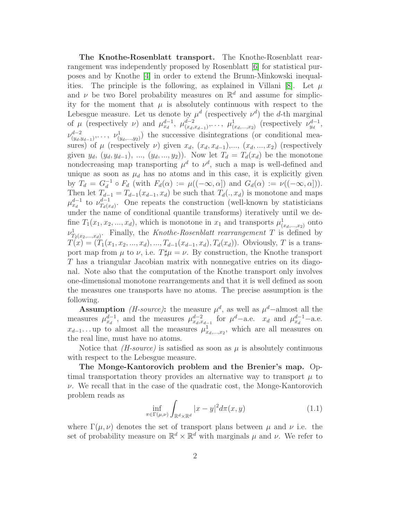The Knothe-Rosenblatt transport. The Knothe-Rosenblatt rearrangement was independently proposed by Rosenblatt [\[6\]](#page-20-0) for statistical purposes and by Knothe [\[4\]](#page-20-1) in order to extend the Brunn-Minkowski inequal-ities. The principle is the following, as explained in Villani [\[8\]](#page-20-2). Let  $\mu$ and  $\nu$  be two Borel probability measures on  $\mathbb{R}^d$  and assume for simplicity for the moment that  $\mu$  is absolutely continuous with respect to the Lebesgue measure. Let us denote by  $\mu^d$  (respectively  $\nu^d$ ) the d-th marginal of  $\mu$  (respectively  $\nu$ ) and  $\mu_{x_d}^{d-1}$ ,  $\mu_{(x_d)}^{d-2}$  $\mu_{(x_d,x_{d-1})}^{d-2}, \ldots, \mu_{(x_d,...,x_2)}^{1}$  (respectively  $\nu_{y_d}^{d-1},$  $\nu_{(u)}^{d-2}$  $\left(\begin{array}{c}d-2 \ (y_d,y_{d-1})\cdots, \ \nu^1_{(y_d,\ldots,y_2)}\end{array}\right)$  the successive disintegrations (or conditional measures) of  $\mu$  (respectively  $\nu$ ) given  $x_d$ ,  $(x_d, x_{d-1})$ ,...,  $(x_d, ..., x_2)$  (respectively given  $y_d$ ,  $(y_d, y_{d-1}), ..., (y_d, ..., y_2)$ . Now let  $T_d = T_d(x_d)$  be the monotone nondecreasing map transporting  $\mu^d$  to  $\nu^d$ , such a map is well-defined and unique as soon as  $\mu_d$  has no atoms and in this case, it is explicitly given by  $T_d = G_d^{-1}$  $d_d^{-1} \circ F_d$  (with  $F_d(\alpha) := \mu((-\infty, \alpha])$  and  $G_d(\alpha) := \nu((-\infty, \alpha])$ ). Then let  $T_{d-1} = T_{d-1}(x_{d-1}, x_d)$  be such that  $T_d(., x_d)$  is monotone and maps  $\mu_{x_d}^{d-1}$  to  $\nu_{T_d(x)}^{d-1}$  $T_{T_d}(x_d)$ . One repeats the construction (well-known by statisticians under the name of conditional quantile transforms) iteratively until we define  $T_1(x_1, x_2, ..., x_d)$ , which is monotone in  $x_1$  and transports  $\mu^1_{(x_d,...,x_2)}$  onto  $\nu^1_{T_2(x_2,\dots,x_d)}$ . Finally, the *Knothe-Rosenblatt rearrangement* T is defined by  $T(x) = (T_1(x_1, x_2, ..., x_d), ..., T_{d-1}(x_{d-1}, x_d), T_d(x_d)).$  Obviously, T is a transport map from  $\mu$  to  $\nu$ , i.e.  $T\sharp\mu = \nu$ . By construction, the Knothe transport T has a triangular Jacobian matrix with nonnegative entries on its diagonal. Note also that the computation of the Knothe transport only involves one-dimensional monotone rearrangements and that it is well defined as soon the measures one transports have no atoms. The precise assumption is the following.

Assumption *(H-source)*: the measure  $\mu^d$ , as well as  $\mu^d$ -almost all the measures  $\mu_{x_d}^{d-1}$ , and the measures  $\mu_{x_d,x_{d-1}}^{d-2}$  for  $\mu_{-a}^d$ .e.  $x_d$  and  $\mu_{x_d}^{d-1}$ -a.e.  $x_{d-1}$ ... up to almost all the measures  $\mu^1_{x_d,\dots,x_2}$ , which are all measures on the real line, must have no atoms.

Notice that *(H-source)* is satisfied as soon as  $\mu$  is absolutely continuous with respect to the Lebesgue measure.

The Monge-Kantorovich problem and the Brenier's map. Optimal transportation theory provides an alternative way to transport  $\mu$  to  $\nu$ . We recall that in the case of the quadratic cost, the Monge-Kantorovich problem reads as

<span id="page-2-0"></span>
$$
\inf_{\pi \in \Gamma(\mu,\nu)} \int_{\mathbb{R}^d \times \mathbb{R}^d} |x - y|^2 d\pi(x,y) \tag{1.1}
$$

where  $\Gamma(\mu, \nu)$  denotes the set of transport plans between  $\mu$  and  $\nu$  i.e. the set of probability measure on  $\mathbb{R}^d \times \mathbb{R}^d$  with marginals  $\mu$  and  $\nu$ . We refer to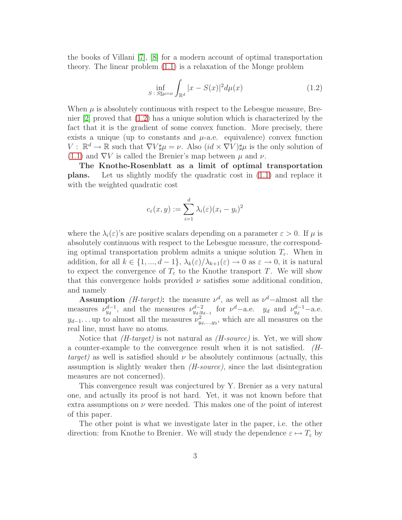the books of Villani [\[7\]](#page-20-3), [\[8\]](#page-20-2) for a modern account of optimal transportation theory. The linear problem [\(1.1\)](#page-2-0) is a relaxation of the Monge problem

<span id="page-3-0"></span>
$$
\inf_{S \; : \; S \sharp \mu = \nu} \int_{\mathbb{R}^d} |x - S(x)|^2 d\mu(x) \tag{1.2}
$$

When  $\mu$  is absolutely continuous with respect to the Lebesgue measure, Brenier [\[2\]](#page-20-4) proved that [\(1.2\)](#page-3-0) has a unique solution which is characterized by the fact that it is the gradient of some convex function. More precisely, there exists a unique (up to constants and  $\mu$ -a.e. equivalence) convex function  $V : \mathbb{R}^d \to \mathbb{R}$  such that  $\nabla V \sharp \mu = \nu$ . Also  $(id \times \nabla V)\sharp \mu$  is the only solution of [\(1.1\)](#page-2-0) and  $\nabla V$  is called the Brenier's map between  $\mu$  and  $\nu$ .

The Knothe-Rosenblatt as a limit of optimal transportation plans. Let us slightly modify the quadratic cost in [\(1.1\)](#page-2-0) and replace it with the weighted quadratic cost

$$
c_{\varepsilon}(x,y) := \sum_{i=1}^{d} \lambda_i(\varepsilon)(x_i - y_i)^2
$$

where the  $\lambda_i(\varepsilon)$ 's are positive scalars depending on a parameter  $\varepsilon > 0$ . If  $\mu$  is absolutely continuous with respect to the Lebesgue measure, the corresponding optimal transportation problem admits a unique solution  $T_{\varepsilon}$ . When in addition, for all  $k \in \{1, ..., d-1\}, \lambda_k(\varepsilon)/\lambda_{k+1}(\varepsilon) \to 0$  as  $\varepsilon \to 0$ , it is natural to expect the convergence of  $T_{\varepsilon}$  to the Knothe transport T. We will show that this convergence holds provided  $\nu$  satisfies some additional condition, and namely

**Assumption** *(H-target)*: the measure  $\nu^d$ , as well as  $\nu^d$ -almost all the measures  $\nu_{y_d}^{d-1}$ , and the measures  $\nu_{y_d, y_{d-1}}^{d-2}$  for  $\nu^d$ -a.e.  $y_d$  and  $\nu_{y_d}^{d-1}$ -a.e.  $y_{d-1}$ ... up to almost all the measures  $\nu_{y_d,...,y_3}^2$ , which are all measures on the real line, must have no atoms.

Notice that *(H-target)* is not natural as *(H-source)* is. Yet, we will show a counter-example to the convergence result when it is not satisfied. *(Htarget)* as well is satisfied should  $\nu$  be absolutely continuous (actually, this assumption is slightly weaker then *(H-source)*, since the last disintegration measures are not concerned).

This convergence result was conjectured by Y. Brenier as a very natural one, and actually its proof is not hard. Yet, it was not known before that extra assumptions on  $\nu$  were needed. This makes one of the point of interest of this paper.

The other point is what we investigate later in the paper, i.e. the other direction: from Knothe to Brenier. We will study the dependence  $\varepsilon \mapsto T_{\varepsilon}$  by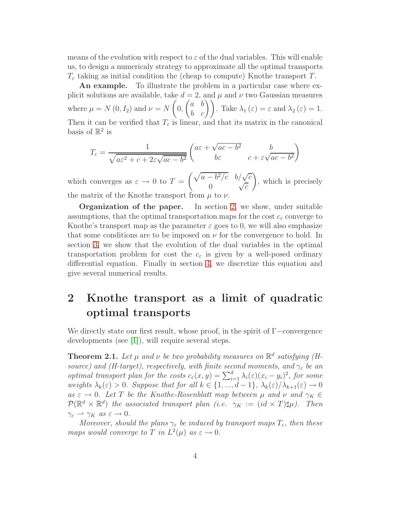means of the evolution with respect to  $\varepsilon$  of the dual variables. This will enable us, to design a numericaly strategy to approximate all the optimal transports  $T_{\varepsilon}$  taking as initial condition the (cheap to compute) Knothe transport T.

An example. To illustrate the problem in a particular case where explicit solutions are available, take  $d = 2$ , and  $\mu$  and  $\nu$  two Gaussian measures where  $\mu = N(0, I_2)$  and  $\nu = N$  $\sqrt{ }$ 0,  $\begin{pmatrix} a & b \\ b & c \end{pmatrix}$ . Take  $\lambda_1 (\varepsilon) = \varepsilon$  and  $\lambda_2 (\varepsilon) = 1$ . Then it can be verified that  $T_{\varepsilon}$  is linear, and that its matrix in the canonical basis of  $\mathbb{R}^2$  is

$$
T_{\varepsilon} = \frac{1}{\sqrt{a\varepsilon^2 + c + 2\varepsilon\sqrt{ac - b^2}}} \begin{pmatrix} a\varepsilon + \sqrt{ac - b^2} & b \\ b\varepsilon & c + \varepsilon\sqrt{ac - b^2} \end{pmatrix}
$$

which converges as  $\varepsilon \to 0$  to  $T =$  $\int \sqrt{a-b^2/c} b/\sqrt{c}$ 0  $\sqrt{c}$  $\setminus$ , which is precisely the matrix of the Knothe transport from  $\mu$  to  $\nu$ 

Organization of the paper. In section [2,](#page-4-0) we show, under suitable assumptions, that the optimal transportation maps for the cost  $c_{\varepsilon}$  converge to Knothe's transport map as the parameter  $\varepsilon$  goes to 0, we will also emphasize that some conditions are to be imposed on  $\nu$  for the convergence to hold. In section [3,](#page-9-0) we show that the evolution of the dual variables in the optimal transportation problem for cost the  $c_{\varepsilon}$  is given by a well-posed ordinary differential equation. Finally in section [4,](#page-16-0) we discretize this equation and give several numerical results.

## <span id="page-4-0"></span>2 Knothe transport as a limit of quadratic optimal transports

<span id="page-4-1"></span>We directly state our first result, whose proof, in the spirit of Γ−convergence developments (see [\[1\]](#page-20-5)), will require several steps.

**Theorem 2.1.** Let  $\mu$  and  $\nu$  be two probability measures on  $\mathbb{R}^d$  satisfying (H*source) and (H-target), respectively, with finite second moments, and*  $\gamma_{\varepsilon}$  *be an optimal transport plan for the costs*  $c_{\varepsilon}(x, y) = \sum_{i=1}^{d} \lambda_i(\varepsilon)(x_i - y_i)^2$ , for some *weights*  $\lambda_k(\varepsilon) > 0$ *. Suppose that for all*  $k \in \{1, ..., d-1\}$ ,  $\lambda_k(\varepsilon)/\lambda_{k+1}(\varepsilon) \to 0$  $as \varepsilon \to 0$ *. Let* T *be the Knothe-Rosenblatt map between*  $\mu$  *and*  $\nu$  *and*  $\gamma_K \in$  $\mathcal{P}(\mathbb{R}^d \times \mathbb{R}^d)$  the associated transport plan (i.e.  $\gamma_K := (id \times T)\sharp \mu$ ). Then  $\gamma_{\varepsilon} \rightharpoonup \gamma_K \text{ as } \varepsilon \to 0.$ 

*Moreover, should the plans*  $\gamma_{\varepsilon}$  *be induced by transport maps*  $T_{\varepsilon}$ *, then these maps would converge to*  $T$  *in*  $L^2(\mu)$  *as*  $\varepsilon \to 0$ *.*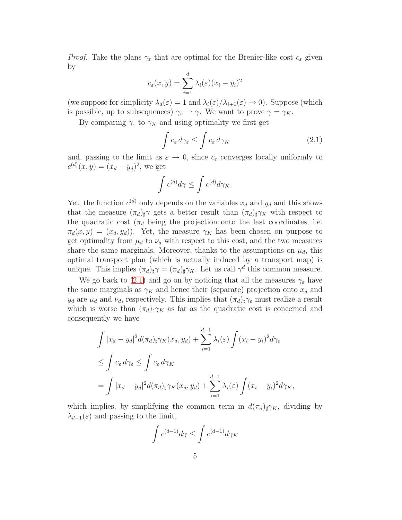*Proof.* Take the plans  $\gamma_{\varepsilon}$  that are optimal for the Brenier-like cost  $c_{\varepsilon}$  given by

$$
c_{\varepsilon}(x,y) = \sum_{i=1}^{d} \lambda_i(\varepsilon)(x_i - y_i)^2
$$

(we suppose for simplicity  $\lambda_d(\varepsilon) = 1$  and  $\lambda_i(\varepsilon)/\lambda_{i+1}(\varepsilon) \to 0$ ). Suppose (which is possible, up to subsequences)  $\gamma_{\varepsilon} \to \gamma$ . We want to prove  $\gamma = \gamma_K$ .

By comparing  $\gamma_{\varepsilon}$  to  $\gamma_K$  and using optimality we first get

<span id="page-5-0"></span>
$$
\int c_{\varepsilon} d\gamma_{\varepsilon} \le \int c_{\varepsilon} d\gamma_K \tag{2.1}
$$

and, passing to the limit as  $\varepsilon \to 0$ , since  $c_{\varepsilon}$  converges locally uniformly to  $c^{(d)}(x, y) = (x_d - y_d)^2$ , we get

$$
\int c^{(d)} d\gamma \le \int c^{(d)} d\gamma_K.
$$

Yet, the function  $c^{(d)}$  only depends on the variables  $x_d$  and  $y_d$  and this shows that the measure  $(\pi_d)_\sharp \gamma$  gets a better result than  $(\pi_d)_\sharp \gamma_K$  with respect to the quadratic cost ( $\pi_d$  being the projection onto the last coordinates, i.e.  $\pi_d(x, y) = (x_d, y_d)$ . Yet, the measure  $\gamma_K$  has been chosen on purpose to get optimality from  $\mu_d$  to  $\nu_d$  with respect to this cost, and the two measures share the same marginals. Moreover, thanks to the assumptions on  $\mu_d$ , this optimal transport plan (which is actually induced by a transport map) is unique. This implies  $(\pi_d)_\sharp \gamma = (\pi_d)_\sharp \gamma_K$ . Let us call  $\gamma^d$  this common measure.

We go back to [\(2.1\)](#page-5-0) and go on by noticing that all the measures  $\gamma_{\varepsilon}$  have the same marginals as  $\gamma_K$  and hence their (separate) projection onto  $x_d$  and  $y_d$  are  $\mu_d$  and  $\nu_d$ , respectively. This implies that  $(\pi_d)_{\sharp} \gamma_{\varepsilon}$  must realize a result which is worse than  $(\pi_d)_\sharp \gamma_K$  as far as the quadratic cost is concerned and consequently we have

$$
\int |x_d - y_d|^2 d(\pi_d)_\sharp \gamma_K(x_d, y_d) + \sum_{i=1}^{d-1} \lambda_i(\varepsilon) \int (x_i - y_i)^2 d\gamma_\varepsilon
$$
  
\n
$$
\leq \int c_\varepsilon d\gamma_\varepsilon \leq \int c_\varepsilon d\gamma_K
$$
  
\n
$$
= \int |x_d - y_d|^2 d(\pi_d)_\sharp \gamma_K(x_d, y_d) + \sum_{i=1}^{d-1} \lambda_i(\varepsilon) \int (x_i - y_i)^2 d\gamma_K,
$$

which implies, by simplifying the common term in  $d(\pi_d)_{\sharp}\gamma_K$ , dividing by  $\lambda_{d-1}(\varepsilon)$  and passing to the limit,

$$
\int c^{(d-1)} d\gamma \le \int c^{(d-1)} d\gamma_K
$$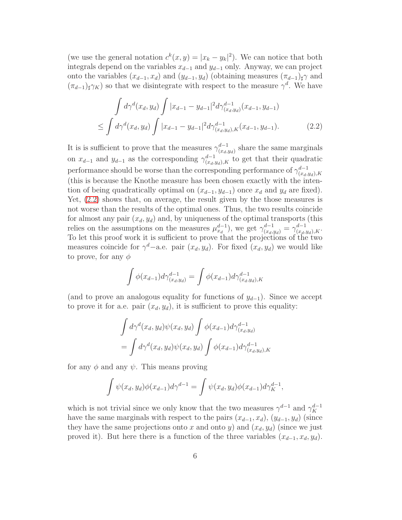(we use the general notation  $c^k(x, y) = |x_k - y_k|^2$ ). We can notice that both integrals depend on the variables  $x_{d-1}$  and  $y_{d-1}$  only. Anyway, we can project onto the variables  $(x_{d-1}, x_d)$  and  $(y_{d-1}, y_d)$  (obtaining measures  $(\pi_{d-1})_{{\sharp}}\gamma$  and  $(\pi_{d-1})_{\sharp}\gamma_K$ ) so that we disintegrate with respect to the measure  $\gamma^d$ . We have

<span id="page-6-0"></span>
$$
\int d\gamma^{d}(x_d, y_d) \int |x_{d-1} - y_{d-1}|^2 d\gamma_{(x_d, y_d)}^{d-1}(x_{d-1}, y_{d-1})
$$
\n
$$
\leq \int d\gamma^{d}(x_d, y_d) \int |x_{d-1} - y_{d-1}|^2 d\gamma_{(x_d, y_d), K}^{d-1}(x_{d-1}, y_{d-1}). \tag{2.2}
$$

It is is sufficient to prove that the measures  $\gamma_{(r,\mu)}^{d-1}$  $\binom{d-1}{(x_d,y_d)}$  share the same marginals on  $x_{d-1}$  and  $y_{d-1}$  as the corresponding  $\gamma_{(x_d,y_d),K}^{d-1}$  to get that their quadratic performance should be worse than the corresponding performance of  $\gamma_{(r,\alpha)}^{d-1}$  $(x_d,y_d),K$ (this is because the Knothe measure has been chosen exactly with the intention of being quadratically optimal on  $(x_{d-1}, y_{d-1})$  once  $x_d$  and  $y_d$  are fixed). Yet,  $(2.2)$  shows that, on average, the result given by the those measures is not worse than the results of the optimal ones. Thus, the two results coincide for almost any pair  $(x_d, y_d)$  and, by uniqueness of the optimal transports (this relies on the assumptions on the measures  $\mu_{x_d}^{d-1}$ ), we get  $\gamma_{(x_d,y_d)}^{d-1} = \gamma_{(x_d,y_d),K}^{d-1}$ . To let this proof work it is sufficient to prove that the projections of the two measures coincide for  $\gamma^d$ -a.e. pair  $(x_d, y_d)$ . For fixed  $(x_d, y_d)$  we would like to prove, for any  $\phi$ 

$$
\int \phi(x_{d-1}) d\gamma_{(x_d, y_d)}^{d-1} = \int \phi(x_{d-1}) d\gamma_{(x_d, y_d), K}^{d-1}
$$

(and to prove an analogous equality for functions of  $y_{d-1}$ ). Since we accept to prove it for a.e. pair  $(x_d, y_d)$ , it is sufficient to prove this equality:

$$
\int d\gamma^d(x_d, y_d) \psi(x_d, y_d) \int \phi(x_{d-1}) d\gamma_{(x_d, y_d)}^{d-1}
$$

$$
= \int d\gamma^d(x_d, y_d) \psi(x_d, y_d) \int \phi(x_{d-1}) d\gamma_{(x_d, y_d), K}^{d-1}
$$

for any  $\phi$  and any  $\psi$ . This means proving

$$
\int \psi(x_d, y_d) \phi(x_{d-1}) d\gamma^{d-1} = \int \psi(x_d, y_d) \phi(x_{d-1}) d\gamma_K^{d-1},
$$

which is not trivial since we only know that the two measures  $\gamma^{d-1}$  and  $\gamma_K^{d-1}$ K have the same marginals with respect to the pairs  $(x_{d-1}, x_d)$ ,  $(y_{d-1}, y_d)$  (since they have the same projections onto x and onto y) and  $(x_d, y_d)$  (since we just proved it). But here there is a function of the three variables  $(x_{d-1}, x_d, y_d)$ .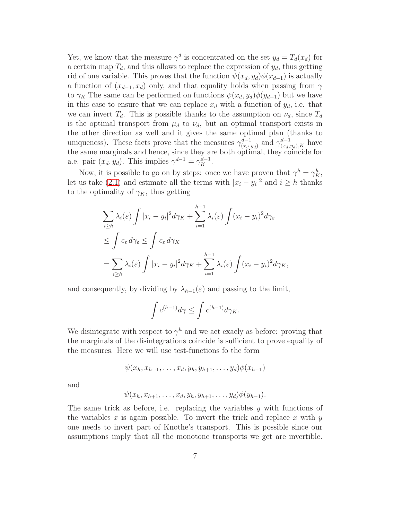Yet, we know that the measure  $\gamma^d$  is concentrated on the set  $y_d = T_d(x_d)$  for a certain map  $T_d$ , and this allows to replace the expression of  $y_d$ , thus getting rid of one variable. This proves that the function  $\psi(x_d, y_d)\phi(x_{d-1})$  is actually a function of  $(x_{d-1}, x_d)$  only, and that equality holds when passing from  $\gamma$ to  $\gamma_K$ . The same can be performed on functions  $\psi(x_d, y_d) \phi(y_{d-1})$  but we have in this case to ensure that we can replace  $x_d$  with a function of  $y_d$ , i.e. that we can invert  $T_d$ . This is possible thanks to the assumption on  $\nu_d$ , since  $T_d$ is the optimal transport from  $\mu_d$  to  $\nu_d$ , but an optimal transport exists in the other direction as well and it gives the same optimal plan (thanks to uniqueness). These facts prove that the measures  $\gamma_{(\tau,i)}^{d-1}$  $_{(x_d,y_d)}^{d-1}$  and  $\gamma_{(x_d,y_d),K}^{d-1}$  have the same marginals and hence, since they are both optimal, they coincide for a.e. pair  $(x_d, y_d)$ . This implies  $\gamma^{d-1} = \gamma_K^{d-1}$ .

Now, it is possible to go on by steps: once we have proven that  $\gamma^h = \gamma^h_K$ , let us take [\(2.1\)](#page-5-0) and estimate all the terms with  $|x_i - y_i|^2$  and  $i \geq h$  thanks to the optimality of  $\gamma_K$ , thus getting

$$
\sum_{i\geq h} \lambda_i(\varepsilon) \int |x_i - y_i|^2 d\gamma_K + \sum_{i=1}^{h-1} \lambda_i(\varepsilon) \int (x_i - y_i)^2 d\gamma_{\varepsilon}
$$
  
\n
$$
\leq \int c_{\varepsilon} d\gamma_{\varepsilon} \leq \int c_{\varepsilon} d\gamma_K
$$
  
\n
$$
= \sum_{i\geq h} \lambda_i(\varepsilon) \int |x_i - y_i|^2 d\gamma_K + \sum_{i=1}^{h-1} \lambda_i(\varepsilon) \int (x_i - y_i)^2 d\gamma_K,
$$

and consequently, by dividing by  $\lambda_{h-1}(\varepsilon)$  and passing to the limit,

$$
\int c^{(h-1)} d\gamma \le \int c^{(h-1)} d\gamma_K.
$$

We disintegrate with respect to  $\gamma^h$  and we act exacly as before: proving that the marginals of the disintegrations coincide is sufficient to prove equality of the measures. Here we will use test-functions fo the form

$$
\psi(x_h,x_{h+1},\ldots,x_d,y_h,y_{h+1},\ldots,y_d)\phi(x_{h-1})
$$

and

$$
\psi(x_h, x_{h+1}, \ldots, x_d, y_h, y_{h+1}, \ldots, y_d) \phi(y_{h-1}).
$$

The same trick as before, i.e. replacing the variables  $y$  with functions of the variables x is again possible. To invert the trick and replace x with y one needs to invert part of Knothe's transport. This is possible since our assumptions imply that all the monotone transports we get are invertible.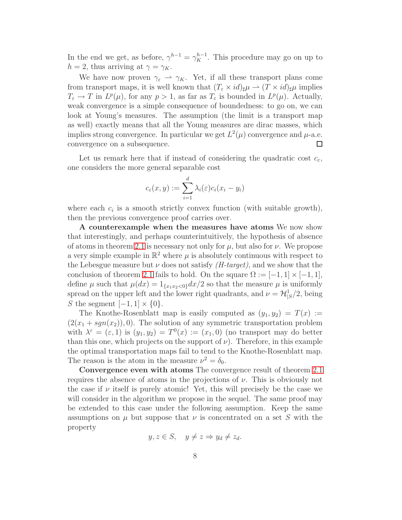In the end we get, as before,  $\gamma^{h-1} = \gamma_K^{h-1}$ . This procedure may go on up to  $h = 2$ , thus arriving at  $\gamma = \gamma_K$ .

We have now proven  $\gamma_{\varepsilon} \to \gamma_K$ . Yet, if all these transport plans come from transport maps, it is well known that  $(T_\varepsilon \times id)_{\sharp} \mu \rightharpoonup (T \times id)_{\sharp} \mu$  implies  $T_{\varepsilon} \to T$  in  $L^p(\mu)$ , for any  $p > 1$ , as far as  $T_{\varepsilon}$  is bounded in  $L^p(\mu)$ . Actually, weak convergence is a simple consequence of boundedness: to go on, we can look at Young's measures. The assumption (the limit is a transport map as well) exactly means that all the Young measures are dirac masses, which implies strong convergence. In particular we get  $L^2(\mu)$  convergence and  $\mu$ -a.e. convergence on a subsequence.  $\Box$ 

Let us remark here that if instead of considering the quadratic cost  $c_{\epsilon}$ , one considers the more general separable cost

$$
c_{\varepsilon}(x,y) := \sum_{i=1}^{d} \lambda_i(\varepsilon) c_i(x_i - y_i)
$$

where each  $c_i$  is a smooth strictly convex function (with suitable growth), then the previous convergence proof carries over.

A counterexample when the measures have atoms We now show that interestingly, and perhaps counterintuitively, the hypothesis of absence of atoms in theorem [2.1](#page-4-1) is necessary not only for  $\mu$ , but also for  $\nu$ . We propose a very simple example in  $\mathbb{R}^2$  where  $\mu$  is absolutely continuous with respect to the Lebesgue measure but  $\nu$  does not satisfy *(H-target)*, and we show that the conclusion of theorem [2.1](#page-4-1) fails to hold. On the square  $\Omega := [-1, 1] \times [-1, 1]$ , define  $\mu$  such that  $\mu(dx) = 1_{\{x_1x_2 \leq 0\}} dx/2$  so that the measure  $\mu$  is uniformly spread on the upper left and the lower right quadrants, and  $\nu = \mathcal{H}^1_{|S}/2$ , being S the segment  $[-1, 1] \times \{0\}.$ 

The Knothe-Rosenblatt map is easily computed as  $(y_1, y_2) = T(x) :=$  $(2(x_1 + sgn(x_2)), 0)$ . The solution of any symmetric transportation problem with  $\lambda^{\varepsilon} = (\varepsilon, 1)$  is  $(y_1, y_2) = T^0(x) := (x_1, 0)$  (no transport may do better than this one, which projects on the support of  $\nu$ ). Therefore, in this example the optimal transportation maps fail to tend to the Knothe-Rosenblatt map. The reason is the atom in the measure  $\nu^2 = \delta_0$ .

Convergence even with atoms The convergence result of theorem [2.1](#page-4-1) requires the absence of atoms in the projections of  $\nu$ . This is obviously not the case if  $\nu$  itself is purely atomic! Yet, this will precisely be the case we will consider in the algorithm we propose in the sequel. The same proof may be extended to this case under the following assumption. Keep the same assumptions on  $\mu$  but suppose that  $\nu$  is concentrated on a set S with the property

$$
y, z \in S, \quad y \neq z \Rightarrow y_d \neq z_d.
$$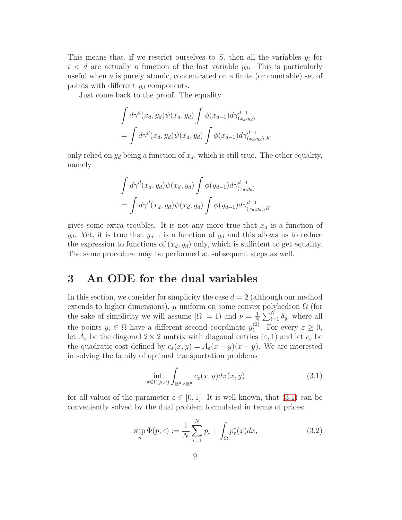This means that, if we restrict ourselves to  $S$ , then all the variables  $y_i$  for  $i < d$  are actually a function of the last variable  $y_d$ . This is particularly useful when  $\nu$  is purely atomic, concentrated on a finite (or countable) set of points with different  $y_d$  components.

Just come back to the proof. The equality

$$
\int d\gamma^d(x_d, y_d) \psi(x_d, y_d) \int \phi(x_{d-1}) d\gamma_{(x_d, y_d)}^{d-1}
$$

$$
= \int d\gamma^d(x_d, y_d) \psi(x_d, y_d) \int \phi(x_{d-1}) d\gamma_{(x_d, y_d), K}^{d-1}
$$

only relied on  $y_d$  being a function of  $x_d$ , which is still true. The other equality, namely

$$
\int d\gamma^d(x_d, y_d) \psi(x_d, y_d) \int \phi(y_{d-1}) d\gamma_{(x_d, y_d)}^{d-1}
$$

$$
= \int d\gamma^d(x_d, y_d) \psi(x_d, y_d) \int \phi(y_{d-1}) d\gamma_{(x_d, y_d), K}^{d-1}
$$

gives some extra troubles. It is not any more true that  $x_d$  is a function of  $y_d$ . Yet, it is true that  $y_{d-1}$  is a function of  $y_d$  and this allows us to reduce the expression to functions of  $(x_d, y_d)$  only, which is sufficient to get equality. The same procedure may be performed at subsequent steps as well.

### <span id="page-9-0"></span>3 An ODE for the dual variables

In this section, we consider for simplicity the case  $d = 2$  (although our method extends to higher dimensions),  $\mu$  uniform on some convex polyhedron  $\Omega$  (for the sake of simplicity we will assume  $|\Omega| = 1$ ) and  $\nu = \frac{1}{\Delta}$  $\frac{1}{N} \sum_{i=1}^{N} \delta_{y_i}$  where all the points  $y_i \in \Omega$  have a different second coordinate  $y_i^{(2)}$  $e^{(2)}$ . For every  $\varepsilon \geq 0$ , let  $A_{\varepsilon}$  be the diagonal  $2 \times 2$  matrix with diagonal entries  $(\varepsilon, 1)$  and let  $c_{\varepsilon}$  be the quadratic cost defined by  $c_{\varepsilon}(x, y) = A_{\varepsilon}(x - y)(x - y)$ . We are interested in solving the family of optimal transportation problems

<span id="page-9-1"></span>
$$
\inf_{\pi \in \Gamma(\mu,\nu)} \int_{\mathbb{R}^d \times \mathbb{R}^d} c_{\varepsilon}(x,y) d\pi(x,y) \tag{3.1}
$$

for all values of the parameter  $\varepsilon \in [0,1]$ . It is well-known, that  $(3.1)$  can be conveniently solved by the dual problem formulated in terms of prices:

<span id="page-9-2"></span>
$$
\sup_{p} \Phi(p,\varepsilon) := \frac{1}{N} \sum_{i=1}^{N} p_i + \int_{\Omega} p_{\varepsilon}^{*}(x) dx, \tag{3.2}
$$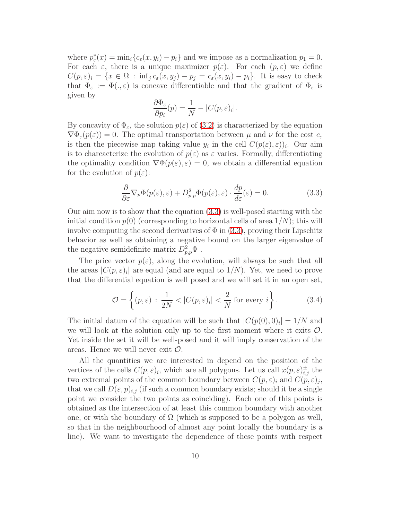where  $p_{\varepsilon}^*(x) = \min_i \{c_{\varepsilon}(x, y_i) - p_i\}$  and we impose as a normalization  $p_1 = 0$ . For each  $\varepsilon$ , there is a unique maximizer  $p(\varepsilon)$ . For each  $(p, \varepsilon)$  we define  $C(p,\varepsilon)_i = \{x \in \Omega : \inf_j c_\varepsilon(x,y_j) - p_j = c_\varepsilon(x,y_i) - p_i\}.$  It is easy to check that  $\Phi_{\varepsilon} := \Phi(., \varepsilon)$  is concave differentiable and that the gradient of  $\Phi_{\varepsilon}$  is given by

$$
\frac{\partial \Phi_{\varepsilon}}{\partial p_i}(p) = \frac{1}{N} - |C(p, \varepsilon)_i|.
$$

By concavity of  $\Phi_{\varepsilon}$ , the solution  $p(\varepsilon)$  of [\(3.2\)](#page-9-2) is characterized by the equation  $\nabla \Phi_{\varepsilon}(p(\varepsilon)) = 0$ . The optimal transportation between  $\mu$  and  $\nu$  for the cost  $c_{\varepsilon}$ is then the piecewise map taking value  $y_i$  in the cell  $C(p(\varepsilon), \varepsilon)$ , Our aim is to charcacterize the evolution of  $p(\varepsilon)$  as  $\varepsilon$  varies. Formally, differentiating the optimality condition  $\nabla \Phi(p(\varepsilon), \varepsilon) = 0$ , we obtain a differential equation for the evolution of  $p(\varepsilon)$ :

<span id="page-10-0"></span>
$$
\frac{\partial}{\partial \varepsilon} \nabla_p \Phi(p(\varepsilon), \varepsilon) + D_{p,p}^2 \Phi(p(\varepsilon), \varepsilon) \cdot \frac{dp}{d\varepsilon}(\varepsilon) = 0.
$$
\n(3.3)

Our aim now is to show that the equation [\(3.3\)](#page-10-0) is well-posed starting with the initial condition  $p(0)$  (corresponding to horizontal cells of area  $1/N$ ); this will involve computing the second derivatives of  $\Phi$  in [\(3.3\)](#page-10-0), proving their Lipschitz behavior as well as obtaining a negative bound on the larger eigenvalue of the negative semidefinite matrix  $D^2_{p,p}\Phi$ .

The price vector  $p(\varepsilon)$ , along the evolution, will always be such that all the areas  $|C(p, \varepsilon)_i|$  are equal (and are equal to  $1/N$ ). Yet, we need to prove that the differential equation is well posed and we will set it in an open set,

<span id="page-10-1"></span>
$$
\mathcal{O} = \left\{ (p, \varepsilon) : \frac{1}{2N} < |C(p, \varepsilon)_i| < \frac{2}{N} \text{ for every } i \right\}. \tag{3.4}
$$

The initial datum of the equation will be such that  $|C(p(0), 0)_i| = 1/N$  and we will look at the solution only up to the first moment where it exits  $\mathcal{O}$ . Yet inside the set it will be well-posed and it will imply conservation of the areas. Hence we will never exit  $\mathcal{O}$ .

All the quantities we are interested in depend on the position of the vertices of the cells  $C(p, \varepsilon)_i$ , which are all polygons. Let us call  $x(p, \varepsilon)_{i,j}^{\pm}$  the two extremal points of the common boundary between  $C(p, \varepsilon)_i$  and  $C(p, \varepsilon)_j$ , that we call  $D(\varepsilon, p)_{i,j}$  (if such a common boundary exists; should it be a single point we consider the two points as coinciding). Each one of this points is obtained as the intersection of at least this common boundary with another one, or with the boundary of  $\Omega$  (which is supposed to be a polygon as well, so that in the neighbourhood of almost any point locally the boundary is a line). We want to investigate the dependence of these points with respect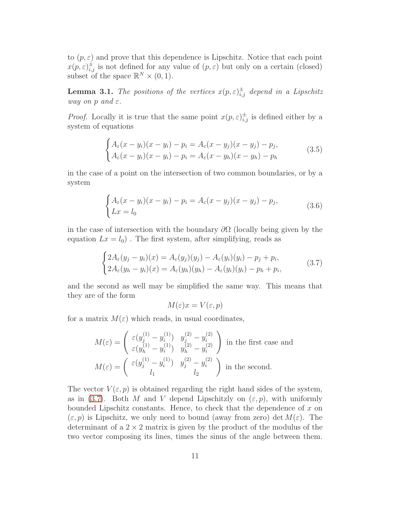to  $(p, \varepsilon)$  and prove that this dependence is Lipschitz. Notice that each point  $x(p, \varepsilon)_{i,j}^{\pm}$  is not defined for any value of  $(p, \varepsilon)$  but only on a certain (closed) subset of the space  $\mathbb{R}^N \times (0,1)$ .

**Lemma 3.1.** The positions of the vertices  $x(p, \varepsilon)_{i,j}^{\pm}$  depend in a Lipschitz *way on*  $p$  *and*  $\varepsilon$ .

*Proof.* Locally it is true that the same point  $x(p, \varepsilon)_{i,j}^{\pm}$  is defined either by a system of equations

$$
\begin{cases}\nA_{\varepsilon}(x-y_i)(x-y_i) - p_i = A_{\varepsilon}(x-y_j)(x-y_j) - p_j, \\
A_{\varepsilon}(x-y_i)(x-y_i) - p_i = A_{\varepsilon}(x-y_h)(x-y_h) - p_h\n\end{cases}
$$
\n(3.5)

in the case of a point on the intersection of two common boundaries, or by a system

$$
\begin{cases} A_{\varepsilon}(x - y_i)(x - y_i) - p_i = A_{\varepsilon}(x - y_j)(x - y_j) - p_j, \\ Lx = l_0 \end{cases}
$$
 (3.6)

in the case of intersection with the boundary  $\partial\Omega$  (locally being given by the equation  $Lx = l_0$ ). The first system, after simplifying, reads as

<span id="page-11-0"></span>
$$
\begin{cases}\n2A_{\varepsilon}(y_j - y_i)(x) = A_{\varepsilon}(y_j)(y_j) - A_{\varepsilon}(y_i)(y_i) - p_j + p_i, \\
2A_{\varepsilon}(y_h - y_i)(x) = A_{\varepsilon}(y_h)(y_h) - A_{\varepsilon}(y_i)(y_i) - p_h + p_i,\n\end{cases}
$$
\n(3.7)

and the second as well may be simplified the same way. This means that they are of the form  $\mathcal{L}(\lambda) = \mathbf{r} \mathbf{r} \mathcal{L}(\lambda)$ 

$$
M(\varepsilon)x = V(\varepsilon, p)
$$

for a matrix  $M(\varepsilon)$  which reads, in usual coordinates,

$$
M(\varepsilon) = \begin{pmatrix} \varepsilon(y_j^{(1)} - y_i^{(1)}) & y_j^{(2)} - y_i^{(2)} \\ \varepsilon(y_h^{(1)} - y_i^{(1)}) & y_h^{(2)} - y_i^{(2)} \end{pmatrix}
$$
 in the first case and  

$$
M(\varepsilon) = \begin{pmatrix} \varepsilon(y_j^{(1)} - y_i^{(1)}) & y_j^{(2)} - y_i^{(2)} \\ l_1 & l_2 \end{pmatrix}
$$
 in the second.

The vector  $V(\varepsilon, p)$  is obtained regarding the right hand sides of the system, as in [\(3.7\)](#page-11-0). Both M and V depend Lipschitzly on  $(\varepsilon, p)$ , with uniformly bounded Lipschitz constants. Hence, to check that the dependence of  $x$  on  $(\varepsilon, p)$  is Lipschitz, we only need to bound (away from zero) det  $M(\varepsilon)$ . The determinant of a  $2 \times 2$  matrix is given by the product of the modulus of the two vector composing its lines, times the sinus of the angle between them.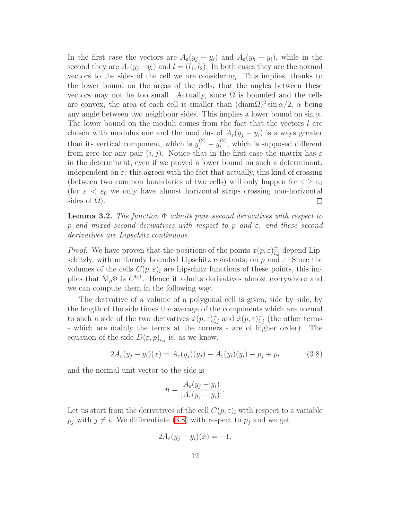In the first case the vectors are  $A_{\varepsilon}(y_j - y_i)$  and  $A_{\varepsilon}(y_h - y_i)$ , while in the second they are  $A_{\varepsilon}(y_j - y_i)$  and  $l = (l_1, l_2)$ . In both cases they are the normal vectors to the sides of the cell we are considering. This implies, thanks to the lower bound on the areas of the cells, that the angles between these vectors may not be too small. Actually, since  $\Omega$  is bounded and the cells are convex, the area of each cell is smaller than  $(\text{diam}\Omega)^2 \sin \alpha/2$ ,  $\alpha$  being any angle between two neighbour sides. This implies a lower bound on  $\sin \alpha$ . The lower bound on the moduli comes from the fact that the vectors l are chosen with modulus one and the modulus of  $A_{\varepsilon}(y_j - y_i)$  is always greater than its vertical component, which is  $y_j^{(2)} - y_i^{(2)}$  $i^{(2)}$ , which is supposed different from zero for any pair  $(i, j)$ . Notice that in the first case the matrix has  $\varepsilon$ in the determinant, even if we proved a lower bound on such a determinant, independent on  $\varepsilon$ : this agrees with the fact that actually, this kind of crossing (between two common boundaries of two cells) will only happen for  $\varepsilon \geq \varepsilon_0$ (for  $\varepsilon < \varepsilon_0$  we only have almost horizontal strips crossing non-horizontal sides of  $(2)$ .  $\Box$ 

Lemma 3.2. *The function* Φ *admits pure second derivatives with respect to* p *and mixed second derivatives with respect to* p *and* ε*, and these second derivatives are Lipschitz continuous.*

*Proof.* We have proven that the positions of the points  $x(p, \varepsilon)_{i,j}^{\pm}$  depend Lipschitzly, with uniformly bounded Lipschitz constants, on  $p$  and  $\varepsilon$ . Since the volumes of the cells  $C(p, \varepsilon)$  are Lipschitz functions of these points, this implies that  $\nabla_p \Phi$  is  $C^{0,1}$ . Hence it admits derivatives almost everywhere and we can compute them in the following way.

The derivative of a volume of a polygonal cell is given, side by side, by the length of the side times the average of the components which are normal to such a side of the two derivatives  $\dot{x}(p, \varepsilon)_{i,j}^+$  and  $\dot{x}(p, \varepsilon)_{i,j}^-$  (the other terms - which are mainly the terms at the corners - are of higher order). The equation of the side  $D(\varepsilon, p)_{i,j}$  is, as we know,

<span id="page-12-0"></span>
$$
2A_{\varepsilon}(y_j - y_i)(x) = A_{\varepsilon}(y_j)(y_j) - A_{\varepsilon}(y_i)(y_i) - p_j + p_i \tag{3.8}
$$

and the normal unit vector to the side is

$$
n = \frac{A_{\varepsilon}(y_j - y_i)}{|A_{\varepsilon}(y_j - y_i)|}.
$$

Let us start from the derivatives of the cell  $C(p, \varepsilon)$  with respect to a variable  $p_j$  with  $j \neq i$ . We differentiate [\(3.8\)](#page-12-0) with respect to  $p_j$  and we get

$$
2A_{\varepsilon}(y_j - y_i)(\dot{x}) = -1.
$$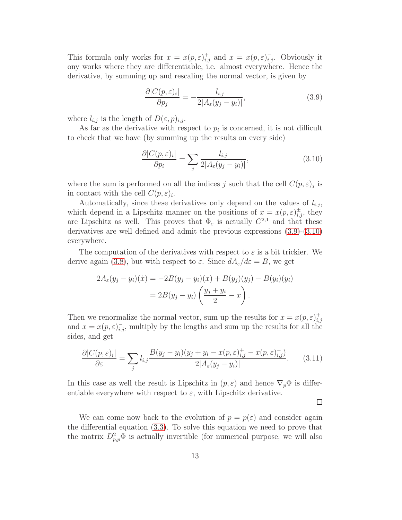This formula only works for  $x = x(p, \varepsilon)_{i,j}^+$  and  $x = x(p, \varepsilon)_{i,j}^-$ . Obviously it ony works where they are differentiable, i.e. almost everywhere. Hence the derivative, by summing up and rescaling the normal vector, is given by

<span id="page-13-0"></span>
$$
\frac{\partial |C(p,\varepsilon)_i|}{\partial p_j} = -\frac{l_{i,j}}{2|A_{\varepsilon}(y_j - y_i)|},\tag{3.9}
$$

where  $l_{i,j}$  is the length of  $D(\varepsilon, p)_{i,j}$ .

As far as the derivative with respect to  $p_i$  is concerned, it is not difficult to check that we have (by summing up the results on every side)

<span id="page-13-1"></span>
$$
\frac{\partial |C(p,\varepsilon)_i|}{\partial p_i} = \sum_j \frac{l_{i,j}}{2|A_\varepsilon(y_j - y_i)|},\tag{3.10}
$$

where the sum is performed on all the indices j such that the cell  $C(p, \varepsilon)_j$  is in contact with the cell  $C(p, \varepsilon)_i$ .

Automatically, since these derivatives only depend on the values of  $l_{i,j}$ , which depend in a Lipschitz manner on the positions of  $x = x(p, \varepsilon)_{i,j}^{\pm}$ , they are Lipschitz as well. This proves that  $\Phi_{\varepsilon}$  is actually  $C^{2,1}$  and that these derivatives are well defined and admit the previous expressions [\(3.9\)](#page-13-0)-[\(3.10\)](#page-13-1) everywhere.

The computation of the derivatives with respect to  $\varepsilon$  is a bit trickier. We derive again [\(3.8\)](#page-12-0), but with respect to  $\varepsilon$ . Since  $dA_{\varepsilon}/d\varepsilon = B$ , we get

$$
2A_{\varepsilon}(y_j - y_i)(\dot{x}) = -2B(y_j - y_i)(x) + B(y_j)(y_j) - B(y_i)(y_i)
$$
  
= 
$$
2B(y_j - y_i) \left( \frac{y_j + y_i}{2} - x \right).
$$

Then we renormalize the normal vector, sum up the results for  $x = x(p, \varepsilon)_{i,j}^+$ and  $x = x(p, \varepsilon)_{i,j}^-$ , multiply by the lengths and sum up the results for all the sides, and get

<span id="page-13-2"></span>
$$
\frac{\partial |C(p,\varepsilon)_i|}{\partial \varepsilon} = \sum_j l_{i,j} \frac{B(y_j - y_i)(y_j + y_i - x(p,\varepsilon)_{i,j}^+ - x(p,\varepsilon)_{i,j}^-)}{2|A_\varepsilon(y_j - y_i)|}.\tag{3.11}
$$

In this case as well the result is Lipschitz in  $(p, \varepsilon)$  and hence  $\nabla_p \Phi$  is differentiable everywhere with respect to  $\varepsilon$ , with Lipschitz derivative.

We can come now back to the evolution of  $p = p(\varepsilon)$  and consider again the differential equation [\(3.3\)](#page-10-0). To solve this equation we need to prove that the matrix  $D_{p,p}^2 \Phi$  is actually invertible (for numerical purpose, we will also

 $\Box$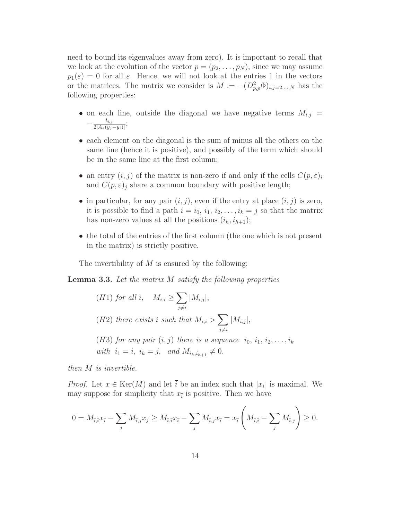need to bound its eigenvalues away from zero). It is important to recall that we look at the evolution of the vector  $p = (p_2, \ldots, p_N)$ , since we may assume  $p_1(\varepsilon) = 0$  for all  $\varepsilon$ . Hence, we will not look at the entries 1 in the vectors or the matrices. The matrix we consider is  $M := -(D_{p,p}^2 \Phi)_{i,j=2,\dots,N}$  has the following properties:

- on each line, outside the diagonal we have negative terms  $M_{i,j}$  =  $-\frac{l_{i,j}}{2|A_{\varepsilon}(y_j)}$  $\frac{\iota_{i,j}}{2|A_{\varepsilon}(y_j-y_i)|};$
- each element on the diagonal is the sum of minus all the others on the same line (hence it is positive), and possibly of the term which should be in the same line at the first column;
- an entry  $(i, j)$  of the matrix is non-zero if and only if the cells  $C(p, \varepsilon)_i$ and  $C(p, \varepsilon)_j$  share a common boundary with positive length;
- in particular, for any pair  $(i, j)$ , even if the entry at place  $(i, j)$  is zero, it is possible to find a path  $i = i_0, i_1, i_2, \ldots, i_k = j$  so that the matrix has non-zero values at all the positions  $(i_h, i_{h+1});$
- the total of the entries of the first column (the one which is not present in the matrix) is strictly positive.

<span id="page-14-0"></span>The invertibility of  $M$  is ensured by the following:

Lemma 3.3. *Let the matrix* M *satisfy the following properties*

\n- (H1) for all 
$$
i, \quad M_{i,i} \geq \sum_{j \neq i} |M_{i,j}|,
$$
\n- (H2) there exists  $i$  such that  $M_{i,i} > \sum_{j \neq i} |M_{i,j}|,$
\n- (H3) for any pair  $(i, j)$  there is a sequence  $i_0, i_1, i_2, \ldots, i_k$  with  $i_1 = i, i_k = j, \text{ and } M_{i_h, i_{h+1}} \neq 0.$
\n

*then* M *is invertible.*

*Proof.* Let  $x \in \text{Ker}(M)$  and let  $\overline{i}$  be an index such that  $|x_i|$  is maximal. We may suppose for simplicity that  $x_{\overline{i}}$  is positive. Then we have

$$
0 = M_{\bar{i},\bar{i}} x_{\bar{i}} - \sum_{j} M_{\bar{i},j} x_j \ge M_{\bar{i},\bar{i}} x_{\bar{i}} - \sum_{j} M_{\bar{i},j} x_{\bar{i}} = x_{\bar{i}} \left( M_{\bar{i},\bar{i}} - \sum_{j} M_{\bar{i},j} \right) \ge 0.
$$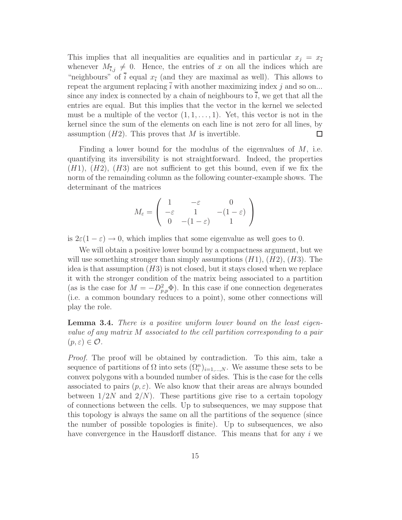This implies that all inequalities are equalities and in particular  $x_j = x_{\overline{i}}$ whenever  $M_{\overline{i},j} \neq 0$ . Hence, the entries of x on all the indices which are "neighbours" of  $\overline{i}$  equal  $x_{\overline{i}}$  (and they are maximal as well). This allows to repeat the argument replacing  $\overline{i}$  with another maximizing index j and so on... since any index is connected by a chain of neighbours to  $\overline{i}$ , we get that all the entries are equal. But this implies that the vector in the kernel we selected must be a multiple of the vector  $(1, 1, \ldots, 1)$ . Yet, this vector is not in the kernel since the sum of the elements on each line is not zero for all lines, by assumption  $(H2)$ . This proves that M is invertible. □

Finding a lower bound for the modulus of the eigenvalues of M, i.e. quantifying its inversibility is not straightforward. Indeed, the properties  $(H1)$ ,  $(H2)$ ,  $(H3)$  are not sufficient to get this bound, even if we fix the norm of the remainding column as the following counter-example shows. The determinant of the matrices

$$
M_{\varepsilon} = \begin{pmatrix} 1 & -\varepsilon & 0 \\ -\varepsilon & 1 & -(1-\varepsilon) \\ 0 & -(1-\varepsilon) & 1 \end{pmatrix}
$$

is  $2\varepsilon(1-\varepsilon) \to 0$ , which implies that some eigenvalue as well goes to 0.

We will obtain a positive lower bound by a compactness argument, but we will use something stronger than simply assumptions  $(H1)$ ,  $(H2)$ ,  $(H3)$ . The idea is that assumption  $(H3)$  is not closed, but it stays closed when we replace it with the stronger condition of the matrix being associated to a partition (as is the case for  $M = -D_{p,p}^2\Phi$ ). In this case if one connection degenerates (i.e. a common boundary reduces to a point), some other connections will play the role.

Lemma 3.4. *There is a positive uniform lower bound on the least eigenvalue of any matrix* M *associated to the cell partition corresponding to a pair*  $(p, \varepsilon) \in \mathcal{O}$ .

*Proof.* The proof will be obtained by contradiction. To this aim, take a sequence of partitions of  $\Omega$  into sets  $(\Omega_i^n)_{i=1,\dots,N}$ . We assume these sets to be convex polygons with a bounded number of sides. This is the case for the cells associated to pairs  $(p, \varepsilon)$ . We also know that their areas are always bounded between  $1/2N$  and  $2/N$ . These partitions give rise to a certain topology of connections between the cells. Up to subsequences, we may suppose that this topology is always the same on all the partitions of the sequence (since the number of possible topologies is finite). Up to subsequences, we also have convergence in the Hausdorff distance. This means that for any  $i$  we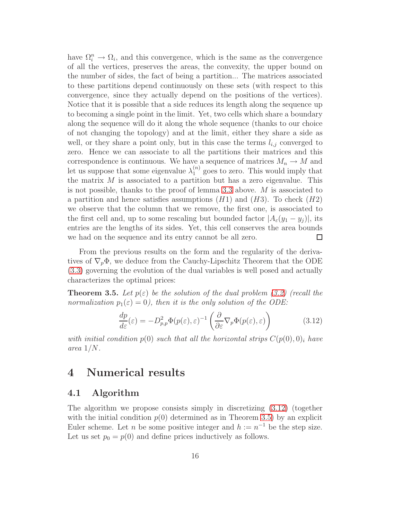have  $\Omega_i^n \to \Omega_i$ , and this convergence, which is the same as the convergence of all the vertices, preserves the areas, the convexity, the upper bound on the number of sides, the fact of being a partition... The matrices associated to these partitions depend continuously on these sets (with respect to this convergence, since they actually depend on the positions of the vertices). Notice that it is possible that a side reduces its length along the sequence up to becoming a single point in the limit. Yet, two cells which share a boundary along the sequence will do it along the whole sequence (thanks to our choice of not changing the topology) and at the limit, either they share a side as well, or they share a point only, but in this case the terms  $l_{i,j}$  converged to zero. Hence we can associate to all the partitions their matrices and this correspondence is continuous. We have a sequence of matrices  $M_n \to M$  and let us suppose that some eigenvalue  $\lambda_1^{(n)}$  $_1^{(n)}$  goes to zero. This would imply that the matrix  $M$  is associated to a partition but has a zero eigenvalue. This is not possible, thanks to the proof of lemma [3.3](#page-14-0) above. M is associated to a partition and hence satisfies assumptions  $(H1)$  and  $(H3)$ . To check  $(H2)$ we observe that the column that we remove, the first one, is associated to the first cell and, up to some rescaling but bounded factor  $|A_\varepsilon(y_1 - y_i)|$ , its entries are the lengths of its sides. Yet, this cell conserves the area bounds we had on the sequence and its entry cannot be all zero.  $\Box$ 

From the previous results on the form and the regularity of the derivatives of  $\nabla_p \Phi$ , we deduce from the Cauchy-Lipschitz Theorem that the ODE [\(3.3\)](#page-10-0) governing the evolution of the dual variables is well posed and actually characterizes the optimal prices:

<span id="page-16-2"></span>**Theorem 3.5.** Let  $p(\varepsilon)$  be the solution of the dual problem [\(3.2\)](#page-9-2) (recall the *normalization*  $p_1(\varepsilon) = 0$ *), then it is the only solution of the ODE:* 

<span id="page-16-1"></span>
$$
\frac{dp}{d\varepsilon}(\varepsilon) = -D_{p,p}^2 \Phi(p(\varepsilon), \varepsilon)^{-1} \left( \frac{\partial}{\partial \varepsilon} \nabla_p \Phi(p(\varepsilon), \varepsilon) \right) \tag{3.12}
$$

*with initial condition*  $p(0)$  *such that all the horizontal strips*  $C(p(0), 0)$ *i have area* 1/N*.*

### <span id="page-16-0"></span>4 Numerical results

#### 4.1 Algorithm

The algorithm we propose consists simply in discretizing [\(3.12\)](#page-16-1) (together with the initial condition  $p(0)$  determined as in Theorem [3.5\)](#page-16-2) by an explicit Euler scheme. Let *n* be some positive integer and  $h := n^{-1}$  be the step size. Let us set  $p_0 = p(0)$  and define prices inductively as follows.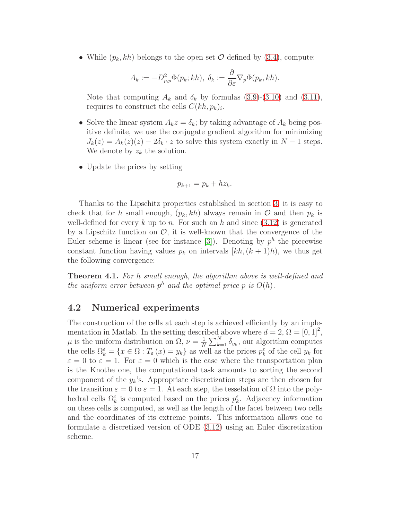• While  $(p_k, kh)$  belongs to the open set  $\mathcal O$  defined by [\(3.4\)](#page-10-1), compute:

$$
A_k := -D_{p,p}^2 \Phi(p_k; kh), \ \delta_k := \frac{\partial}{\partial \varepsilon} \nabla_p \Phi(p_k, kh).
$$

Note that computing  $A_k$  and  $\delta_k$  by formulas [\(3.9\)](#page-13-0)-[\(3.10\)](#page-13-1) and [\(3.11\)](#page-13-2), requires to construct the cells  $C(kh, p_k)_i$ .

- Solve the linear system  $A_k z = \delta_k$ ; by taking advantage of  $A_k$  being positive definite, we use the conjugate gradient algorithm for minimizing  $J_k(z) = A_k(z)(z) - 2\delta_k \cdot z$  to solve this system exactly in  $N-1$  steps. We denote by  $z_k$  the solution.
- Update the prices by setting

$$
p_{k+1} = p_k + h z_k.
$$

Thanks to the Lipschitz properties established in section [3,](#page-9-0) it is easy to check that for h small enough,  $(p_k, kh)$  always remain in  $\mathcal O$  and then  $p_k$  is well-defined for every k up to n. For such an h and since  $(3.12)$  is generated by a Lipschitz function on  $\mathcal{O}$ , it is well-known that the convergence of the Euler scheme is linear (see for instance [\[3\]](#page-20-6)). Denoting by  $p^h$  the piecewise constant function having values  $p_k$  on intervals  $[kh,(k+1)h)$ , we thus get the following convergence:

Theorem 4.1. *For* h *small enough, the algorithm above is well-defined and the uniform error between*  $p^h$  *and the optimal price*  $p$  *is*  $O(h)$ *.* 

#### 4.2 Numerical experiments

The construction of the cells at each step is achieved efficiently by an implementation in Matlab. In the setting described above where  $d = 2$ ,  $\Omega = [0, 1]^2$ ,  $\mu$  is the uniform distribution on  $\Omega$ ,  $\nu = \frac{1}{N}$  $\frac{1}{N} \sum_{k=1}^{N} \delta_{y_k}$ , our algorithm computes the cells  $\Omega_k^{\varepsilon} = \{x \in \Omega : T_{\varepsilon}(x) = y_k\}$  as well as the prices  $p_k^{\varepsilon}$  of the cell  $y_k$  for  $\varepsilon = 0$  to  $\varepsilon = 1$ . For  $\varepsilon = 0$  which is the case where the transportation plan is the Knothe one, the computational task amounts to sorting the second component of the  $y_k$ 's. Appropriate discretization steps are then chosen for the transition  $\varepsilon = 0$  to  $\varepsilon = 1$ . At each step, the tesselation of  $\Omega$  into the polyhedral cells  $\Omega_k^{\varepsilon}$  is computed based on the prices  $p_k^{\varepsilon}$ . Adjacency information on these cells is computed, as well as the length of the facet between two cells and the coordinates of its extreme points. This information allows one to formulate a discretized version of ODE [\(3.12\)](#page-16-1) using an Euler discretization scheme.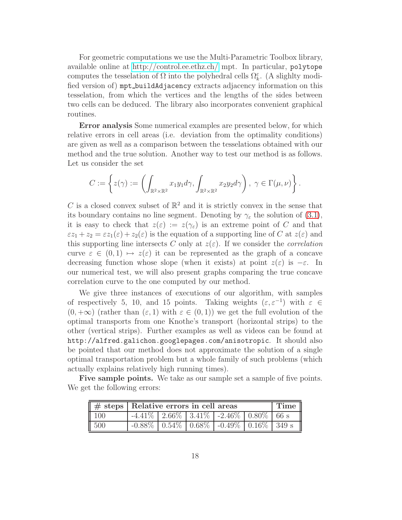For geometric computations we use the Multi-Parametric Toolbox library, available online at<http://control.ee.ethz.ch/> mpt. In particular, polytope computes the tesselation of  $\Omega$  into the polyhedral cells  $\Omega_k^{\varepsilon}$ . (A slighlty modified version of) mpt\_buildAdjacency extracts adjacency information on this tesselation, from which the vertices and the lengths of the sides between two cells can be deduced. The library also incorporates convenient graphical routines.

Error analysis Some numerical examples are presented below, for which relative errors in cell areas (i.e. deviation from the optimality conditions) are given as well as a comparison between the tesselations obtained with our method and the true solution. Another way to test our method is as follows. Let us consider the set

$$
C:=\left\{z(\gamma):=\left(\int_{\mathbb{R}^2\times\mathbb{R}^2}x_1y_1d\gamma,\int_{\mathbb{R}^2\times\mathbb{R}^2}x_2y_2d\gamma\right),\ \gamma\in\Gamma(\mu,\nu)\right\}.
$$

C is a closed convex subset of  $\mathbb{R}^2$  and it is strictly convex in the sense that its boundary contains no line segment. Denoting by  $\gamma_{\varepsilon}$  the solution of [\(3.1\)](#page-9-1), it is easy to check that  $z(\varepsilon) := z(\gamma_{\varepsilon})$  is an extreme point of C and that  $\epsilon z_1 + z_2 = \epsilon z_1(\epsilon) + z_2(\epsilon)$  is the equation of a supporting line of C at  $z(\epsilon)$  and this supporting line intersects C only at  $z(\varepsilon)$ . If we consider the *correlation* curve  $\varepsilon \in (0,1) \mapsto z(\varepsilon)$  it can be represented as the graph of a concave decreasing function whose slope (when it exists) at point  $z(\varepsilon)$  is  $-\varepsilon$ . In our numerical test, we will also present graphs comparing the true concave correlation curve to the one computed by our method.

We give three instances of executions of our algorithm, with samples of respectively 5, 10, and 15 points. Taking weights  $(\varepsilon, \varepsilon^{-1})$  with  $\varepsilon \in$  $(0, +\infty)$  (rather than  $(\varepsilon, 1)$  with  $\varepsilon \in (0, 1)$ ) we get the full evolution of the optimal transports from one Knothe's transport (horizontal strips) to the other (vertical strips). Further examples as well as videos can be found at http://alfred.galichon.googlepages.com/anisotropic. It should also be pointed that our method does not approximate the solution of a single optimal transportation problem but a whole family of such problems (which actually explains relatively high running times).

Five sample points. We take as our sample set a sample of five points. We get the following errors:

| $\#$ steps Relative errors in cell areas |  | Time |                                                          |  |  |
|------------------------------------------|--|------|----------------------------------------------------------|--|--|
| 1100                                     |  |      | $-4.41\%$   2.66\%   3.41\%   $-2.46\%$   0.80\%   66 s  |  |  |
| 500                                      |  |      | $-0.88\%$   0.54\%   0.68\%   $-0.49\%$   0.16\%   349 s |  |  |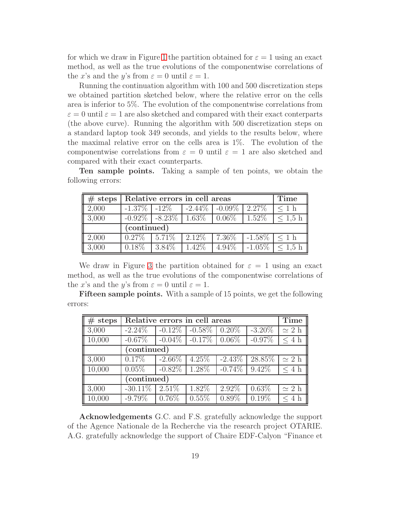for which we draw in Figure [1](#page-21-0) the partition obtained for  $\varepsilon = 1$  using an exact method, as well as the true evolutions of the componentwise correlations of the x's and the y's from  $\varepsilon = 0$  until  $\varepsilon = 1$ .

Running the continuation algorithm with 100 and 500 discretization steps we obtained partition sketched below, where the relative error on the cells area is inferior to 5%. The evolution of the componentwise correlations from  $\varepsilon = 0$  until  $\varepsilon = 1$  are also sketched and compared with their exact conterparts (the above curve). Running the algorithm with 500 discretization steps on a standard laptop took 349 seconds, and yields to the results below, where the maximal relative error on the cells area is 1%. The evolution of the componentwise correlations from  $\varepsilon = 0$  until  $\varepsilon = 1$  are also sketched and compared with their exact counterparts.

Ten sample points. Taking a sample of ten points, we obtain the following errors:

| $#$ steps | Relative errors in cell areas | Time                                        |           |           |           |              |  |
|-----------|-------------------------------|---------------------------------------------|-----------|-----------|-----------|--------------|--|
| 2,000     | $-1.37\%$ -12\%               |                                             | $-2.44\%$ | $-0.09\%$ | 2.27\%    | < 1 h        |  |
| 3,000     |                               | $-0.92\%$   $-8.23\%$   $1.63\%$   $0.06\%$ |           |           | $1.52\%$  | $< 1.5$ h    |  |
|           | (continued)                   |                                             |           |           |           |              |  |
| 2,000     | $0.27\%$                      | $1.5.71\%$                                  | $2.12\%$  | 7.36\%    | $-1.58\%$ | $\leq 1$ h   |  |
| 3,000     | $0.18\%$                      | $3.84\%$                                    | 1.42\%    | $4.94\%$  | $-1.05\%$ | $\leq 1.5$ h |  |

We draw in Figure [3](#page-23-0) the partition obtained for  $\varepsilon = 1$  using an exact method, as well as the true evolutions of the componentwise correlations of the x's and the y's from  $\varepsilon = 0$  until  $\varepsilon = 1$ .

Fifteen sample points. With a sample of 15 points, we get the following errors:

| # steps | Relative errors in cell areas | Time      |           |           |           |              |  |  |
|---------|-------------------------------|-----------|-----------|-----------|-----------|--------------|--|--|
| 3,000   | $-2.24\%$                     | $-0.12\%$ | $-0.58\%$ | $0.20\%$  | $-3.20\%$ | $\simeq$ 2 h |  |  |
| 10,000  | $-0.67\%$                     | $-0.04%$  | $-0.17%$  | $0.06\%$  | $-0.97\%$ | $\leq$ 4 h   |  |  |
|         | (continued)                   |           |           |           |           |              |  |  |
| 3,000   | $0.17\%$                      | $-2.66\%$ | 4.25%     | $-2.43\%$ | 28.85\%   | $\simeq 2$ h |  |  |
| 10,000  | $0.05\%$                      | $-0.82\%$ | 1.28%     | $-0.74\%$ | $9.42\%$  | $\leq 4$ h   |  |  |
|         | (continued)                   |           |           |           |           |              |  |  |
| 3,000   | $-30.11\%$                    | 2.51%     | 1.82%     | 2.92%     | $0.63\%$  | $\simeq 2$ h |  |  |
| 10,000  | $-9.79\%$                     | 0.76%     | 0.55%     | 0.89%     | 0.19%     | $\leq 4$ h   |  |  |

Acknowledgements G.C. and F.S. gratefully acknowledge the support of the Agence Nationale de la Recherche via the research project OTARIE. A.G. gratefully acknowledge the support of Chaire EDF-Calyon "Finance et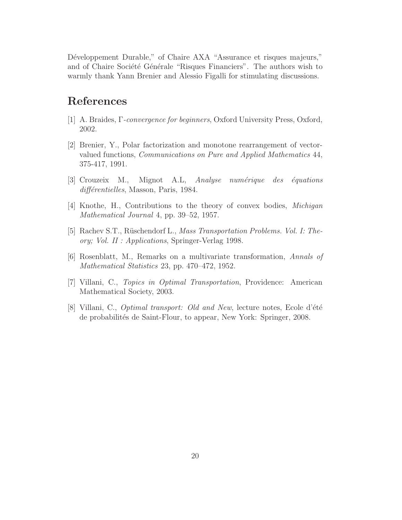Développement Durable," of Chaire AXA "Assurance et risques majeurs," and of Chaire Société Générale "Risques Financiers". The authors wish to warmly thank Yann Brenier and Alessio Figalli for stimulating discussions.

## <span id="page-20-5"></span>References

- <span id="page-20-4"></span>[1] A. Braides, Γ*-convergence for beginners*, Oxford University Press, Oxford, 2002.
- [2] Brenier, Y., Polar factorization and monotone rearrangement of vectorvalued functions, *Communications on Pure and Applied Mathematics* 44, 375-417, 1991.
- <span id="page-20-6"></span><span id="page-20-1"></span>[3] Crouzeix M., Mignot A.L, *Analyse num´erique des ´equations diff´erentielles*, Masson, Paris, 1984.
- [4] Knothe, H., Contributions to the theory of convex bodies, *Michigan Mathematical Journal* 4, pp. 39–52, 1957.
- <span id="page-20-0"></span>[5] Rachev S.T., Rüschendorf L., *Mass Transportation Problems. Vol. I: Theory; Vol. II : Applications*, Springer-Verlag 1998.
- <span id="page-20-3"></span>[6] Rosenblatt, M., Remarks on a multivariate transformation, *Annals of Mathematical Statistics* 23, pp. 470–472, 1952.
- <span id="page-20-2"></span>[7] Villani, C., *Topics in Optimal Transportation*, Providence: American Mathematical Society, 2003.
- [8] Villani, C., *Optimal transport: Old and New*, lecture notes, Ecole d'été de probabilités de Saint-Flour, to appear, New York: Springer, 2008.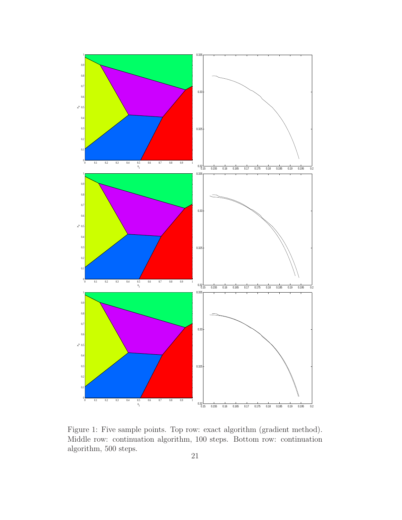

<span id="page-21-0"></span>Figure 1: Five sample points. Top row: exact algorithm (gradient method). Middle row: continuation algorithm, 100 steps. Bottom row: continuation algorithm, 500 steps.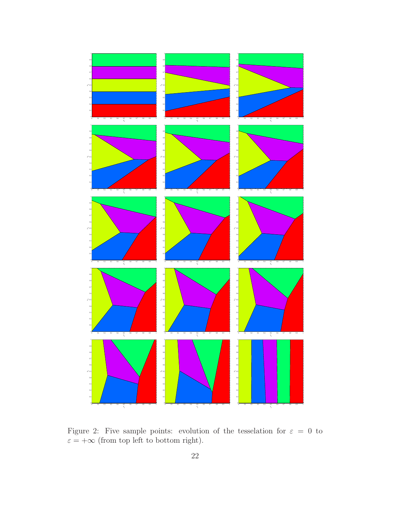

Figure 2: Five sample points: evolution of the tesselation for  $\varepsilon = 0$  to  $\varepsilon=+\infty$  (from top left to bottom right).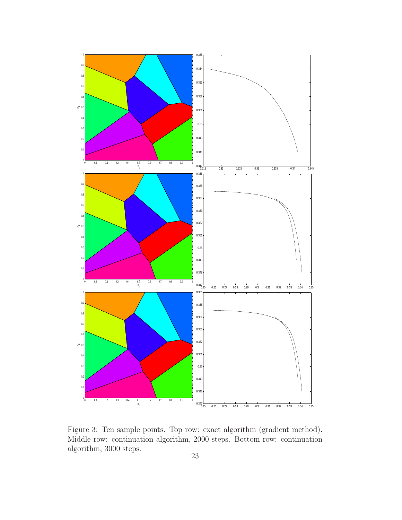

<span id="page-23-0"></span>Figure 3: Ten sample points. Top row: exact algorithm (gradient method). Middle row: continuation algorithm, 2000 steps. Bottom row: continuation algorithm, 3000 steps.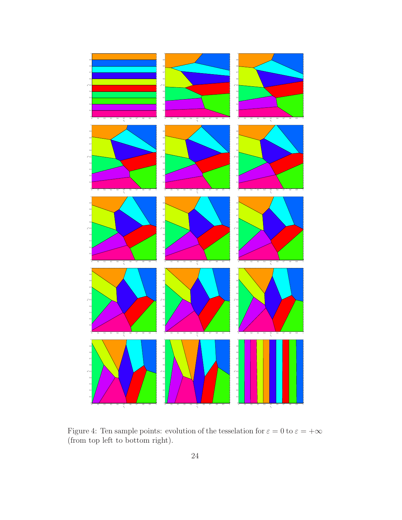

Figure 4: Ten sample points: evolution of the tesselation for  $\varepsilon = 0$  to  $\varepsilon = +\infty$ (from top left to bottom right).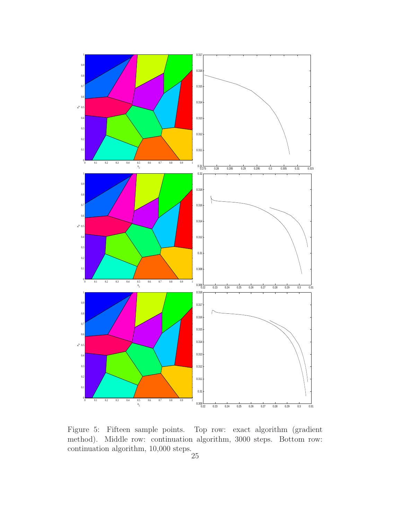

Figure 5: Fifteen sample points. Top row: exact algorithm (gradient method). Middle row: continuation algorithm, 3000 steps. Bottom row: continuation algorithm, 10,000 steps.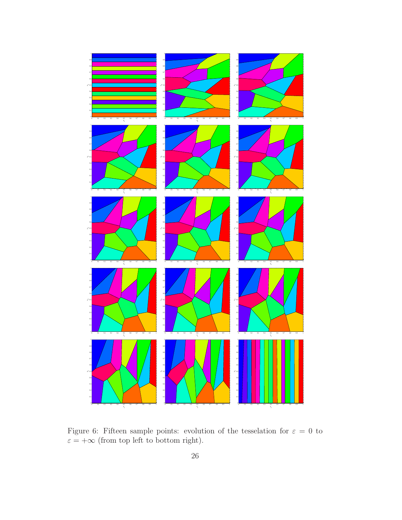

Figure 6: Fifteen sample points: evolution of the tesselation for  $\varepsilon = 0$  to  $\varepsilon=+\infty$  (from top left to bottom right).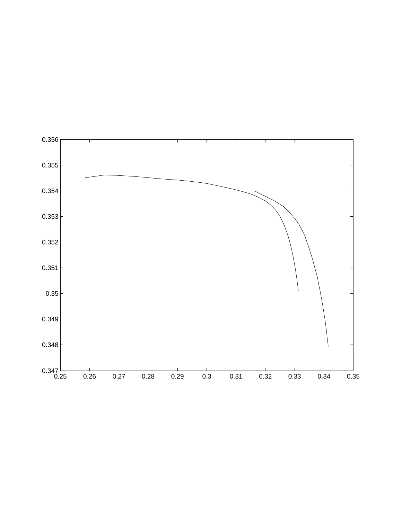